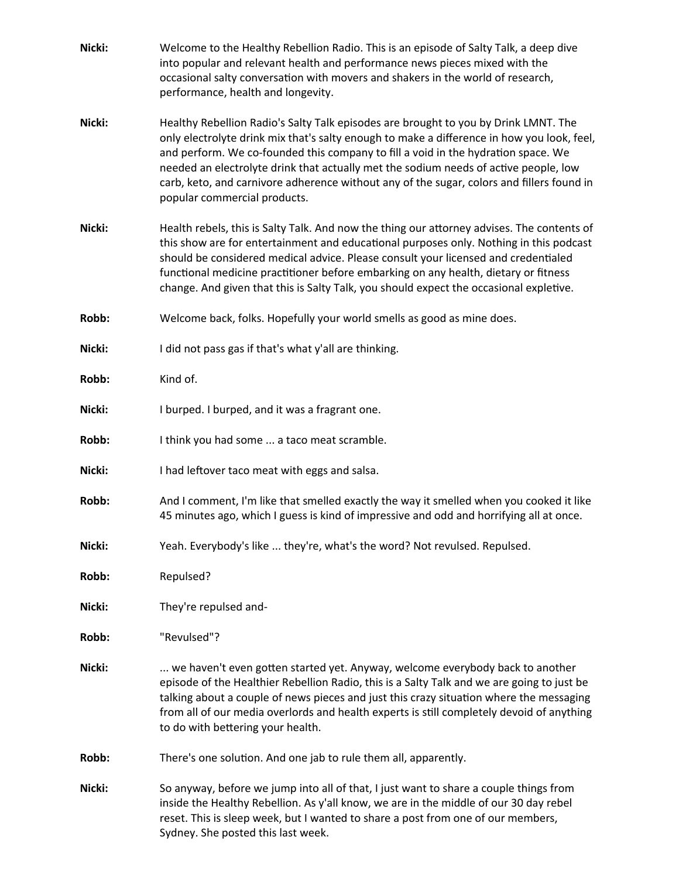| Nicki: | Welcome to the Healthy Rebellion Radio. This is an episode of Salty Talk, a deep dive<br>into popular and relevant health and performance news pieces mixed with the<br>occasional salty conversation with movers and shakers in the world of research,<br>performance, health and longevity.                                                                                                                                                                                               |
|--------|---------------------------------------------------------------------------------------------------------------------------------------------------------------------------------------------------------------------------------------------------------------------------------------------------------------------------------------------------------------------------------------------------------------------------------------------------------------------------------------------|
| Nicki: | Healthy Rebellion Radio's Salty Talk episodes are brought to you by Drink LMNT. The<br>only electrolyte drink mix that's salty enough to make a difference in how you look, feel,<br>and perform. We co-founded this company to fill a void in the hydration space. We<br>needed an electrolyte drink that actually met the sodium needs of active people, low<br>carb, keto, and carnivore adherence without any of the sugar, colors and fillers found in<br>popular commercial products. |
| Nicki: | Health rebels, this is Salty Talk. And now the thing our attorney advises. The contents of<br>this show are for entertainment and educational purposes only. Nothing in this podcast<br>should be considered medical advice. Please consult your licensed and credentialed<br>functional medicine practitioner before embarking on any health, dietary or fitness<br>change. And given that this is Salty Talk, you should expect the occasional expletive.                                 |
| Robb:  | Welcome back, folks. Hopefully your world smells as good as mine does.                                                                                                                                                                                                                                                                                                                                                                                                                      |
| Nicki: | I did not pass gas if that's what y'all are thinking.                                                                                                                                                                                                                                                                                                                                                                                                                                       |
| Robb:  | Kind of.                                                                                                                                                                                                                                                                                                                                                                                                                                                                                    |
| Nicki: | I burped. I burped, and it was a fragrant one.                                                                                                                                                                                                                                                                                                                                                                                                                                              |
| Robb:  | I think you had some  a taco meat scramble.                                                                                                                                                                                                                                                                                                                                                                                                                                                 |
| Nicki: | I had leftover taco meat with eggs and salsa.                                                                                                                                                                                                                                                                                                                                                                                                                                               |
| Robb:  | And I comment, I'm like that smelled exactly the way it smelled when you cooked it like<br>45 minutes ago, which I guess is kind of impressive and odd and horrifying all at once.                                                                                                                                                                                                                                                                                                          |
| Nicki: | Yeah. Everybody's like  they're, what's the word? Not revulsed. Repulsed.                                                                                                                                                                                                                                                                                                                                                                                                                   |
| Robb:  | Repulsed?                                                                                                                                                                                                                                                                                                                                                                                                                                                                                   |
| Nicki: | They're repulsed and-                                                                                                                                                                                                                                                                                                                                                                                                                                                                       |
| Robb:  | "Revulsed"?                                                                                                                                                                                                                                                                                                                                                                                                                                                                                 |
| Nicki: | we haven't even gotten started yet. Anyway, welcome everybody back to another<br>episode of the Healthier Rebellion Radio, this is a Salty Talk and we are going to just be<br>talking about a couple of news pieces and just this crazy situation where the messaging<br>from all of our media overlords and health experts is still completely devoid of anything<br>to do with bettering your health.                                                                                    |
| Robb:  | There's one solution. And one jab to rule them all, apparently.                                                                                                                                                                                                                                                                                                                                                                                                                             |
| Nicki: | So anyway, before we jump into all of that, I just want to share a couple things from<br>inside the Healthy Rebellion. As y'all know, we are in the middle of our 30 day rebel<br>reset. This is sleep week, but I wanted to share a post from one of our members,                                                                                                                                                                                                                          |

Sydney. She posted this last week.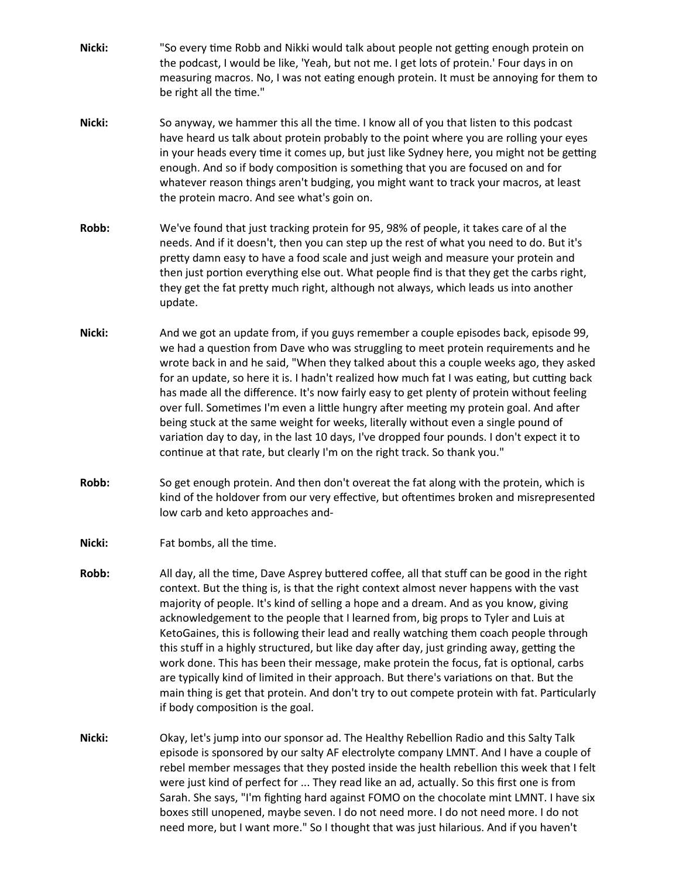- **Nicki:** "So every time Robb and Nikki would talk about people not getting enough protein on the podcast, I would be like, 'Yeah, but not me. I get lots of protein.' Four days in on measuring macros. No, I was not eating enough protein. It must be annoying for them to be right all the time."
- **Nicki:** So anyway, we hammer this all the time. I know all of you that listen to this podcast have heard us talk about protein probably to the point where you are rolling your eyes in your heads every time it comes up, but just like Sydney here, you might not be getting enough. And so if body composition is something that you are focused on and for whatever reason things aren't budging, you might want to track your macros, at least the protein macro. And see what's goin on.
- **Robb:** We've found that just tracking protein for 95, 98% of people, it takes care of al the needs. And if it doesn't, then you can step up the rest of what you need to do. But it's pretty damn easy to have a food scale and just weigh and measure your protein and then just portion everything else out. What people find is that they get the carbs right, they get the fat pretty much right, although not always, which leads us into another update.
- **Nicki:** And we got an update from, if you guys remember a couple episodes back, episode 99, we had a question from Dave who was struggling to meet protein requirements and he wrote back in and he said, "When they talked about this a couple weeks ago, they asked for an update, so here it is. I hadn't realized how much fat I was eating, but cutting back has made all the difference. It's now fairly easy to get plenty of protein without feeling over full. Sometimes I'm even a little hungry after meeting my protein goal. And after being stuck at the same weight for weeks, literally without even a single pound of variation day to day, in the last 10 days, I've dropped four pounds. I don't expect it to continue at that rate, but clearly I'm on the right track. So thank you."
- **Robb:** So get enough protein. And then don't overeat the fat along with the protein, which is kind of the holdover from our very effective, but oftentimes broken and misrepresented low carb and keto approaches and-
- **Nicki:** Fat bombs, all the time.
- **Robb:** All day, all the time, Dave Asprey buttered coffee, all that stuff can be good in the right context. But the thing is, is that the right context almost never happens with the vast majority of people. It's kind of selling a hope and a dream. And as you know, giving acknowledgement to the people that I learned from, big props to Tyler and Luis at KetoGaines, this is following their lead and really watching them coach people through this stuff in a highly structured, but like day after day, just grinding away, getting the work done. This has been their message, make protein the focus, fat is optional, carbs are typically kind of limited in their approach. But there's variations on that. But the main thing is get that protein. And don't try to out compete protein with fat. Particularly if body composition is the goal.
- **Nicki:** Okay, let's jump into our sponsor ad. The Healthy Rebellion Radio and this Salty Talk episode is sponsored by our salty AF electrolyte company LMNT. And I have a couple of rebel member messages that they posted inside the health rebellion this week that I felt were just kind of perfect for ... They read like an ad, actually. So this first one is from Sarah. She says, "I'm fighting hard against FOMO on the chocolate mint LMNT. I have six boxes still unopened, maybe seven. I do not need more. I do not need more. I do not need more, but I want more." So I thought that was just hilarious. And if you haven't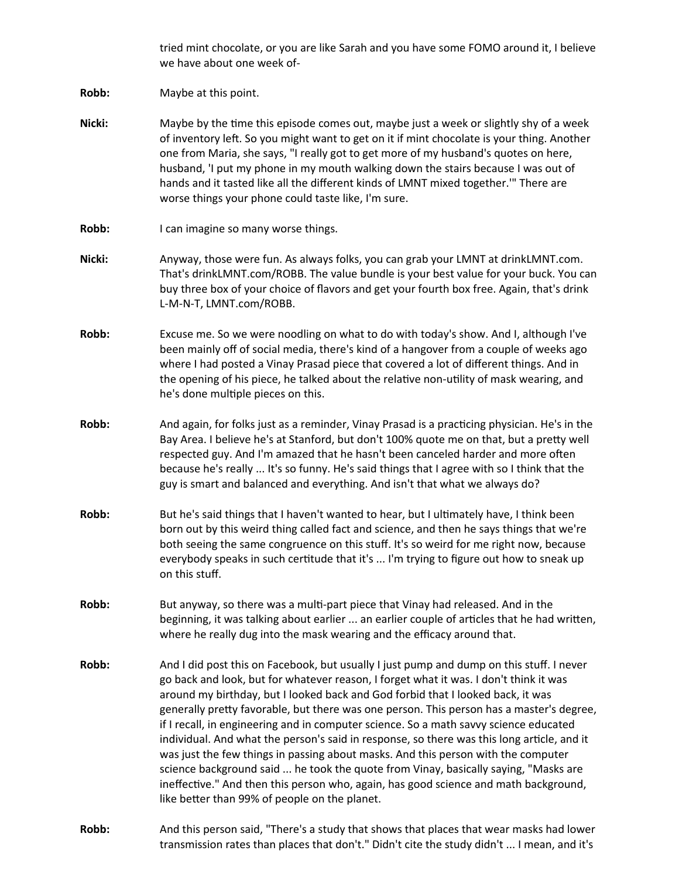tried mint chocolate, or you are like Sarah and you have some FOMO around it, I believe we have about one week of-

**Robb:** Maybe at this point.

- **Nicki:** Maybe by the time this episode comes out, maybe just a week or slightly shy of a week of inventory left. So you might want to get on it if mint chocolate is your thing. Another one from Maria, she says, "I really got to get more of my husband's quotes on here, husband, 'I put my phone in my mouth walking down the stairs because I was out of hands and it tasted like all the different kinds of LMNT mixed together.'" There are worse things your phone could taste like, I'm sure.
- **Robb:** I can imagine so many worse things.
- **Nicki:** Anyway, those were fun. As always folks, you can grab your LMNT at drinkLMNT.com. That's drinkLMNT.com/ROBB. The value bundle is your best value for your buck. You can buy three box of your choice of flavors and get your fourth box free. Again, that's drink L-M-N-T, LMNT.com/ROBB.
- **Robb:** Excuse me. So we were noodling on what to do with today's show. And I, although I've been mainly off of social media, there's kind of a hangover from a couple of weeks ago where I had posted a Vinay Prasad piece that covered a lot of different things. And in the opening of his piece, he talked about the relative non-utility of mask wearing, and he's done multiple pieces on this.
- **Robb:** And again, for folks just as a reminder, Vinay Prasad is a practicing physician. He's in the Bay Area. I believe he's at Stanford, but don't 100% quote me on that, but a pretty well respected guy. And I'm amazed that he hasn't been canceled harder and more often because he's really ... It's so funny. He's said things that I agree with so I think that the guy is smart and balanced and everything. And isn't that what we always do?
- **Robb:** But he's said things that I haven't wanted to hear, but I ultimately have, I think been born out by this weird thing called fact and science, and then he says things that we're both seeing the same congruence on this stuff. It's so weird for me right now, because everybody speaks in such certitude that it's ... I'm trying to figure out how to sneak up on this stuff.
- **Robb:** But anyway, so there was a multi-part piece that Vinay had released. And in the beginning, it was talking about earlier ... an earlier couple of articles that he had written, where he really dug into the mask wearing and the efficacy around that.
- **Robb:** And I did post this on Facebook, but usually I just pump and dump on this stuff. I never go back and look, but for whatever reason, I forget what it was. I don't think it was around my birthday, but I looked back and God forbid that I looked back, it was generally pretty favorable, but there was one person. This person has a master's degree, if I recall, in engineering and in computer science. So a math savvy science educated individual. And what the person's said in response, so there was this long article, and it was just the few things in passing about masks. And this person with the computer science background said ... he took the quote from Vinay, basically saying, "Masks are ineffective." And then this person who, again, has good science and math background, like better than 99% of people on the planet.
- **Robb:** And this person said, "There's a study that shows that places that wear masks had lower transmission rates than places that don't." Didn't cite the study didn't ... I mean, and it's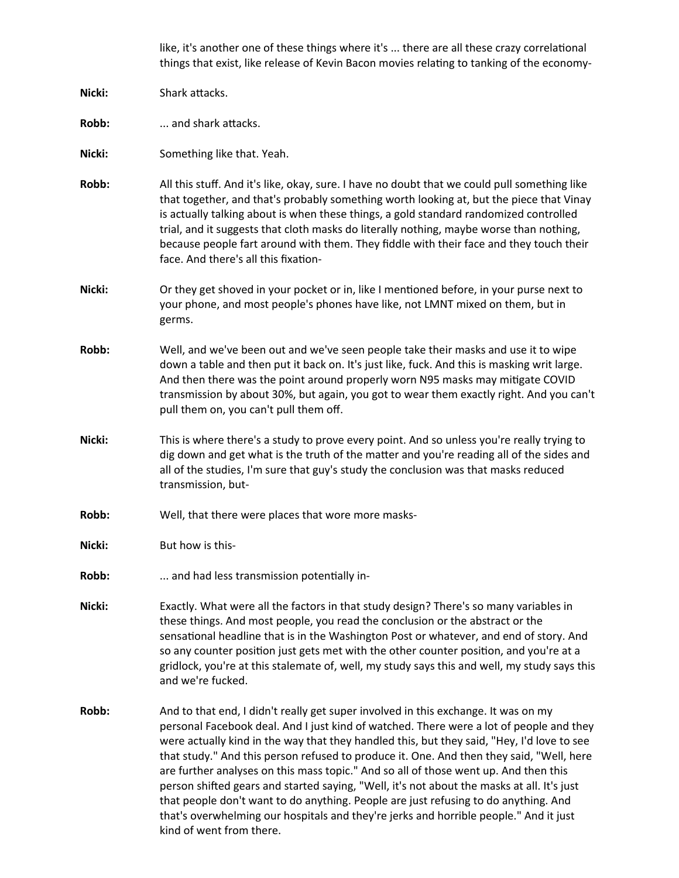like, it's another one of these things where it's ... there are all these crazy correlational things that exist, like release of Kevin Bacon movies relating to tanking of the economy-

- **Nicki:** Shark attacks.
- **Robb:** ... and shark attacks.

**Nicki:** Something like that. Yeah.

- **Robb:** All this stuff. And it's like, okay, sure. I have no doubt that we could pull something like that together, and that's probably something worth looking at, but the piece that Vinay is actually talking about is when these things, a gold standard randomized controlled trial, and it suggests that cloth masks do literally nothing, maybe worse than nothing, because people fart around with them. They fiddle with their face and they touch their face. And there's all this fixation-
- **Nicki:** Or they get shoved in your pocket or in, like I mentioned before, in your purse next to your phone, and most people's phones have like, not LMNT mixed on them, but in germs.
- **Robb:** Well, and we've been out and we've seen people take their masks and use it to wipe down a table and then put it back on. It's just like, fuck. And this is masking writ large. And then there was the point around properly worn N95 masks may mitigate COVID transmission by about 30%, but again, you got to wear them exactly right. And you can't pull them on, you can't pull them off.
- **Nicki:** This is where there's a study to prove every point. And so unless you're really trying to dig down and get what is the truth of the matter and you're reading all of the sides and all of the studies, I'm sure that guy's study the conclusion was that masks reduced transmission, but-
- **Robb:** Well, that there were places that wore more masks-
- **Nicki:** But how is this-
- **Robb:** ... and had less transmission potentially in-
- **Nicki:** Exactly. What were all the factors in that study design? There's so many variables in these things. And most people, you read the conclusion or the abstract or the sensational headline that is in the Washington Post or whatever, and end of story. And so any counter position just gets met with the other counter position, and you're at a gridlock, you're at this stalemate of, well, my study says this and well, my study says this and we're fucked.
- **Robb:** And to that end, I didn't really get super involved in this exchange. It was on my personal Facebook deal. And I just kind of watched. There were a lot of people and they were actually kind in the way that they handled this, but they said, "Hey, I'd love to see that study." And this person refused to produce it. One. And then they said, "Well, here are further analyses on this mass topic." And so all of those went up. And then this person shifted gears and started saying, "Well, it's not about the masks at all. It's just that people don't want to do anything. People are just refusing to do anything. And that's overwhelming our hospitals and they're jerks and horrible people." And it just kind of went from there.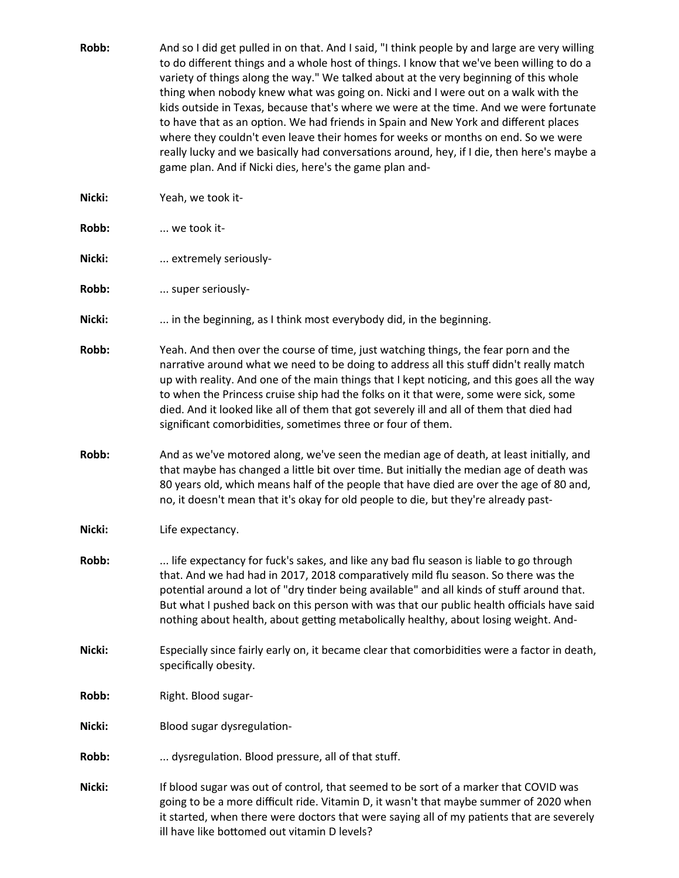Robb: And so I did get pulled in on that. And I said, "I think people by and large are very willing to do different things and a whole host of things. I know that we've been willing to do a variety of things along the way." We talked about at the very beginning of this whole thing when nobody knew what was going on. Nicki and I were out on a walk with the kids outside in Texas, because that's where we were at the time. And we were fortunate to have that as an option. We had friends in Spain and New York and different places where they couldn't even leave their homes for weeks or months on end. So we were really lucky and we basically had conversations around, hey, if I die, then here's maybe a game plan. And if Nicki dies, here's the game plan and-**Nicki:** Yeah, we took it-**Robb:** ... we took it-Nicki: ... extremely seriously-**Robb:** ... super seriously-Nicki: .... in the beginning, as I think most everybody did, in the beginning. **Robb:** Yeah. And then over the course of time, just watching things, the fear porn and the narrative around what we need to be doing to address all this stuff didn't really match up with reality. And one of the main things that I kept noticing, and this goes all the way to when the Princess cruise ship had the folks on it that were, some were sick, some died. And it looked like all of them that got severely ill and all of them that died had significant comorbidities, sometimes three or four of them. **Robb:** And as we've motored along, we've seen the median age of death, at least initially, and that maybe has changed a little bit over time. But initially the median age of death was 80 years old, which means half of the people that have died are over the age of 80 and, no, it doesn't mean that it's okay for old people to die, but they're already past-**Nicki:** Life expectancy. **Robb:** ... life expectancy for fuck's sakes, and like any bad flu season is liable to go through that. And we had had in 2017, 2018 comparatively mild flu season. So there was the potential around a lot of "dry tinder being available" and all kinds of stuff around that. But what I pushed back on this person with was that our public health officials have said nothing about health, about getting metabolically healthy, about losing weight. And-**Nicki:** Especially since fairly early on, it became clear that comorbidities were a factor in death, specifically obesity. **Robb:** Right. Blood sugar-**Nicki:** Blood sugar dysregulation-**Robb:** ... dysregulation. Blood pressure, all of that stuff. **Nicki:** If blood sugar was out of control, that seemed to be sort of a marker that COVID was going to be a more difficult ride. Vitamin D, it wasn't that maybe summer of 2020 when it started, when there were doctors that were saying all of my patients that are severely

ill have like bottomed out vitamin D levels?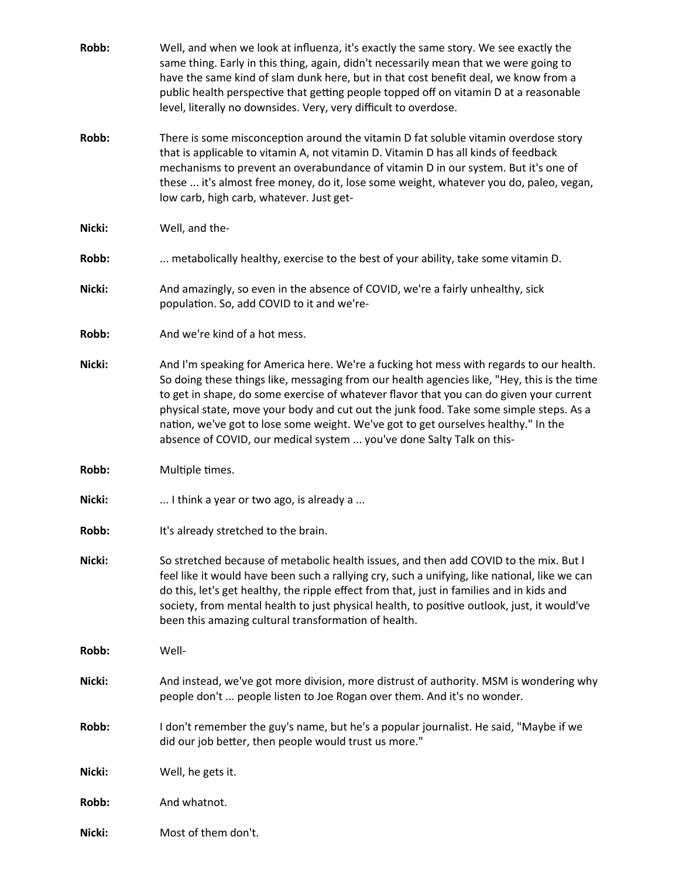| Robb:  | Well, and when we look at influenza, it's exactly the same story. We see exactly the<br>same thing. Early in this thing, again, didn't necessarily mean that we were going to<br>have the same kind of slam dunk here, but in that cost benefit deal, we know from a<br>public health perspective that getting people topped off on vitamin D at a reasonable<br>level, literally no downsides. Very, very difficult to overdose.                                                                                                          |
|--------|--------------------------------------------------------------------------------------------------------------------------------------------------------------------------------------------------------------------------------------------------------------------------------------------------------------------------------------------------------------------------------------------------------------------------------------------------------------------------------------------------------------------------------------------|
| Robb:  | There is some misconception around the vitamin D fat soluble vitamin overdose story<br>that is applicable to vitamin A, not vitamin D. Vitamin D has all kinds of feedback<br>mechanisms to prevent an overabundance of vitamin D in our system. But it's one of<br>these  it's almost free money, do it, lose some weight, whatever you do, paleo, vegan,<br>low carb, high carb, whatever. Just get-                                                                                                                                     |
| Nicki: | Well, and the-                                                                                                                                                                                                                                                                                                                                                                                                                                                                                                                             |
| Robb:  | metabolically healthy, exercise to the best of your ability, take some vitamin D.                                                                                                                                                                                                                                                                                                                                                                                                                                                          |
| Nicki: | And amazingly, so even in the absence of COVID, we're a fairly unhealthy, sick<br>population. So, add COVID to it and we're-                                                                                                                                                                                                                                                                                                                                                                                                               |
| Robb:  | And we're kind of a hot mess.                                                                                                                                                                                                                                                                                                                                                                                                                                                                                                              |
| Nicki: | And I'm speaking for America here. We're a fucking hot mess with regards to our health.<br>So doing these things like, messaging from our health agencies like, "Hey, this is the time<br>to get in shape, do some exercise of whatever flavor that you can do given your current<br>physical state, move your body and cut out the junk food. Take some simple steps. As a<br>nation, we've got to lose some weight. We've got to get ourselves healthy." In the<br>absence of COVID, our medical system  you've done Salty Talk on this- |
| Robb:  | Multiple times.                                                                                                                                                                                                                                                                                                                                                                                                                                                                                                                            |
| Nicki: | I think a year or two ago, is already a                                                                                                                                                                                                                                                                                                                                                                                                                                                                                                    |
| Robb:  | It's already stretched to the brain.                                                                                                                                                                                                                                                                                                                                                                                                                                                                                                       |
| Nicki: | So stretched because of metabolic health issues, and then add COVID to the mix. But I<br>feel like it would have been such a rallying cry, such a unifying, like national, like we can<br>do this, let's get healthy, the ripple effect from that, just in families and in kids and<br>society, from mental health to just physical health, to positive outlook, just, it would've<br>been this amazing cultural transformation of health.                                                                                                 |
| Robb:  | Well-                                                                                                                                                                                                                                                                                                                                                                                                                                                                                                                                      |
| Nicki: | And instead, we've got more division, more distrust of authority. MSM is wondering why<br>people don't  people listen to Joe Rogan over them. And it's no wonder.                                                                                                                                                                                                                                                                                                                                                                          |
| Robb:  | I don't remember the guy's name, but he's a popular journalist. He said, "Maybe if we<br>did our job better, then people would trust us more."                                                                                                                                                                                                                                                                                                                                                                                             |
| Nicki: | Well, he gets it.                                                                                                                                                                                                                                                                                                                                                                                                                                                                                                                          |
| Robb:  | And whatnot.                                                                                                                                                                                                                                                                                                                                                                                                                                                                                                                               |
| Nicki: | Most of them don't.                                                                                                                                                                                                                                                                                                                                                                                                                                                                                                                        |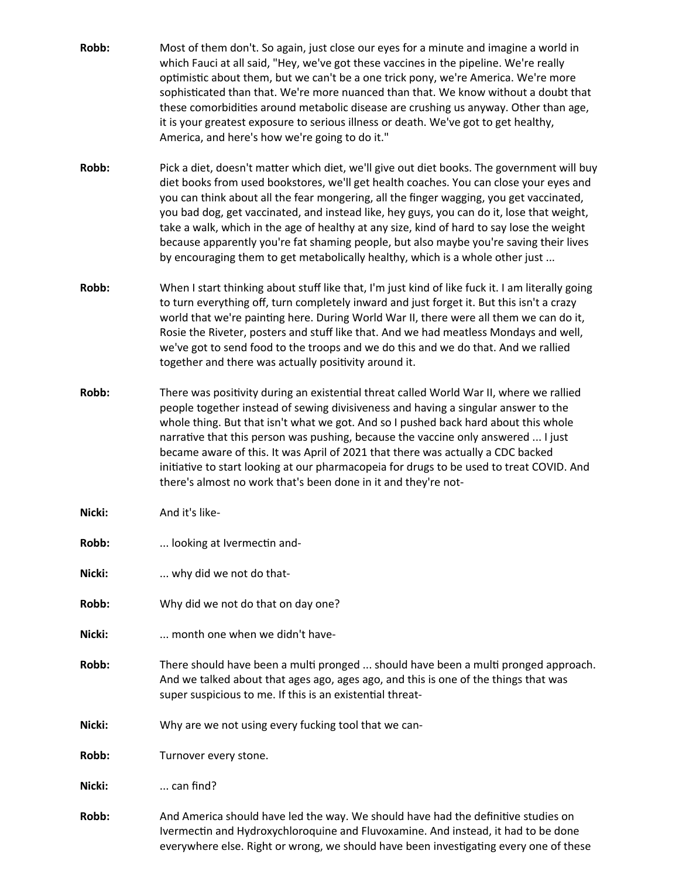- **Robb:** Most of them don't. So again, just close our eyes for a minute and imagine a world in which Fauci at all said, "Hey, we've got these vaccines in the pipeline. We're really optimistic about them, but we can't be a one trick pony, we're America. We're more sophisticated than that. We're more nuanced than that. We know without a doubt that these comorbidities around metabolic disease are crushing us anyway. Other than age, it is your greatest exposure to serious illness or death. We've got to get healthy, America, and here's how we're going to do it."
- **Robb:** Pick a diet, doesn't matter which diet, we'll give out diet books. The government will buy diet books from used bookstores, we'll get health coaches. You can close your eyes and you can think about all the fear mongering, all the finger wagging, you get vaccinated, you bad dog, get vaccinated, and instead like, hey guys, you can do it, lose that weight, take a walk, which in the age of healthy at any size, kind of hard to say lose the weight because apparently you're fat shaming people, but also maybe you're saving their lives by encouraging them to get metabolically healthy, which is a whole other just ...
- **Robb:** When I start thinking about stuff like that, I'm just kind of like fuck it. I am literally going to turn everything off, turn completely inward and just forget it. But this isn't a crazy world that we're painting here. During World War II, there were all them we can do it, Rosie the Riveter, posters and stuff like that. And we had meatless Mondays and well, we've got to send food to the troops and we do this and we do that. And we rallied together and there was actually positivity around it.
- **Robb:** There was positivity during an existential threat called World War II, where we rallied people together instead of sewing divisiveness and having a singular answer to the whole thing. But that isn't what we got. And so I pushed back hard about this whole narrative that this person was pushing, because the vaccine only answered ... I just became aware of this. It was April of 2021 that there was actually a CDC backed initiative to start looking at our pharmacopeia for drugs to be used to treat COVID. And there's almost no work that's been done in it and they're not-

**Nicki:** And it's like-

**Robb:** ... looking at Ivermectin and-

**Nicki:** ... why did we not do that-

- **Robb:** Why did we not do that on day one?
- **Nicki:** ... month one when we didn't have-
- **Robb:** There should have been a multi pronged ... should have been a multi pronged approach. And we talked about that ages ago, ages ago, and this is one of the things that was super suspicious to me. If this is an existential threat-
- **Nicki:** Why are we not using every fucking tool that we can-

**Robb:** Turnover every stone.

**Nicki:** ... can find?

**Robb:** And America should have led the way. We should have had the definitive studies on Ivermectin and Hydroxychloroquine and Fluvoxamine. And instead, it had to be done everywhere else. Right or wrong, we should have been investigating every one of these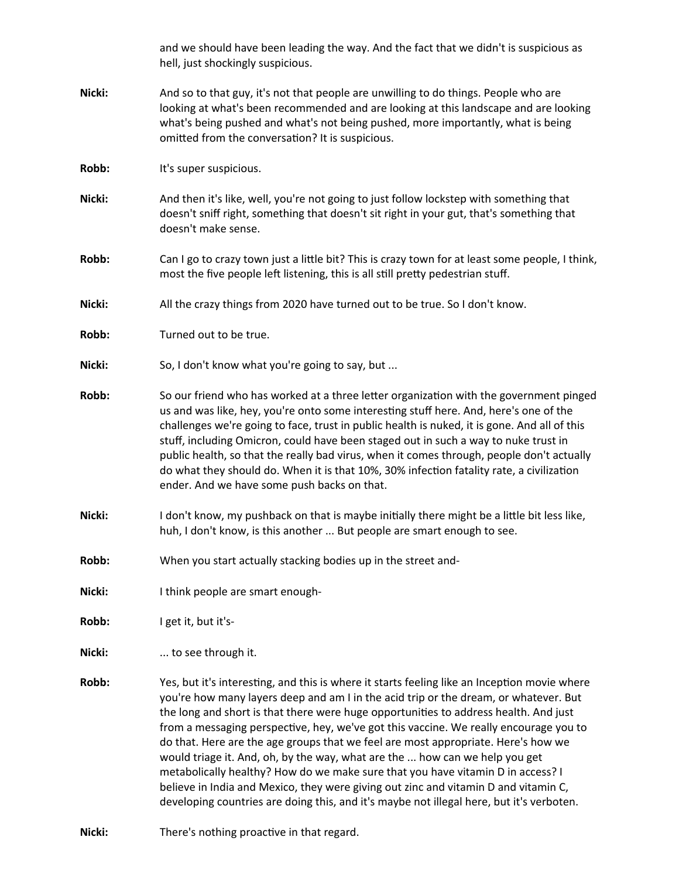|        | and we should have been leading the way. And the fact that we didn't is suspicious as<br>hell, just shockingly suspicious.                                                                                                                                                                                                                                                                                                                                                                                                                                                                                                                                                                                                                                                                                      |
|--------|-----------------------------------------------------------------------------------------------------------------------------------------------------------------------------------------------------------------------------------------------------------------------------------------------------------------------------------------------------------------------------------------------------------------------------------------------------------------------------------------------------------------------------------------------------------------------------------------------------------------------------------------------------------------------------------------------------------------------------------------------------------------------------------------------------------------|
| Nicki: | And so to that guy, it's not that people are unwilling to do things. People who are<br>looking at what's been recommended and are looking at this landscape and are looking<br>what's being pushed and what's not being pushed, more importantly, what is being<br>omitted from the conversation? It is suspicious.                                                                                                                                                                                                                                                                                                                                                                                                                                                                                             |
| Robb:  | It's super suspicious.                                                                                                                                                                                                                                                                                                                                                                                                                                                                                                                                                                                                                                                                                                                                                                                          |
| Nicki: | And then it's like, well, you're not going to just follow lockstep with something that<br>doesn't sniff right, something that doesn't sit right in your gut, that's something that<br>doesn't make sense.                                                                                                                                                                                                                                                                                                                                                                                                                                                                                                                                                                                                       |
| Robb:  | Can I go to crazy town just a little bit? This is crazy town for at least some people, I think,<br>most the five people left listening, this is all still pretty pedestrian stuff.                                                                                                                                                                                                                                                                                                                                                                                                                                                                                                                                                                                                                              |
| Nicki: | All the crazy things from 2020 have turned out to be true. So I don't know.                                                                                                                                                                                                                                                                                                                                                                                                                                                                                                                                                                                                                                                                                                                                     |
| Robb:  | Turned out to be true.                                                                                                                                                                                                                                                                                                                                                                                                                                                                                                                                                                                                                                                                                                                                                                                          |
| Nicki: | So, I don't know what you're going to say, but                                                                                                                                                                                                                                                                                                                                                                                                                                                                                                                                                                                                                                                                                                                                                                  |
| Robb:  | So our friend who has worked at a three letter organization with the government pinged<br>us and was like, hey, you're onto some interesting stuff here. And, here's one of the<br>challenges we're going to face, trust in public health is nuked, it is gone. And all of this<br>stuff, including Omicron, could have been staged out in such a way to nuke trust in<br>public health, so that the really bad virus, when it comes through, people don't actually<br>do what they should do. When it is that 10%, 30% infection fatality rate, a civilization<br>ender. And we have some push backs on that.                                                                                                                                                                                                  |
| Nicki: | I don't know, my pushback on that is maybe initially there might be a little bit less like,<br>huh, I don't know, is this another  But people are smart enough to see.                                                                                                                                                                                                                                                                                                                                                                                                                                                                                                                                                                                                                                          |
| Robb:  | When you start actually stacking bodies up in the street and-                                                                                                                                                                                                                                                                                                                                                                                                                                                                                                                                                                                                                                                                                                                                                   |
| Nicki: | I think people are smart enough-                                                                                                                                                                                                                                                                                                                                                                                                                                                                                                                                                                                                                                                                                                                                                                                |
| Robb:  | I get it, but it's-                                                                                                                                                                                                                                                                                                                                                                                                                                                                                                                                                                                                                                                                                                                                                                                             |
| Nicki: | to see through it.                                                                                                                                                                                                                                                                                                                                                                                                                                                                                                                                                                                                                                                                                                                                                                                              |
| Robb:  | Yes, but it's interesting, and this is where it starts feeling like an Inception movie where<br>you're how many layers deep and am I in the acid trip or the dream, or whatever. But<br>the long and short is that there were huge opportunities to address health. And just<br>from a messaging perspective, hey, we've got this vaccine. We really encourage you to<br>do that. Here are the age groups that we feel are most appropriate. Here's how we<br>would triage it. And, oh, by the way, what are the  how can we help you get<br>metabolically healthy? How do we make sure that you have vitamin D in access? I<br>believe in India and Mexico, they were giving out zinc and vitamin D and vitamin C,<br>developing countries are doing this, and it's maybe not illegal here, but it's verboten. |

**Nicki:** There's nothing proactive in that regard.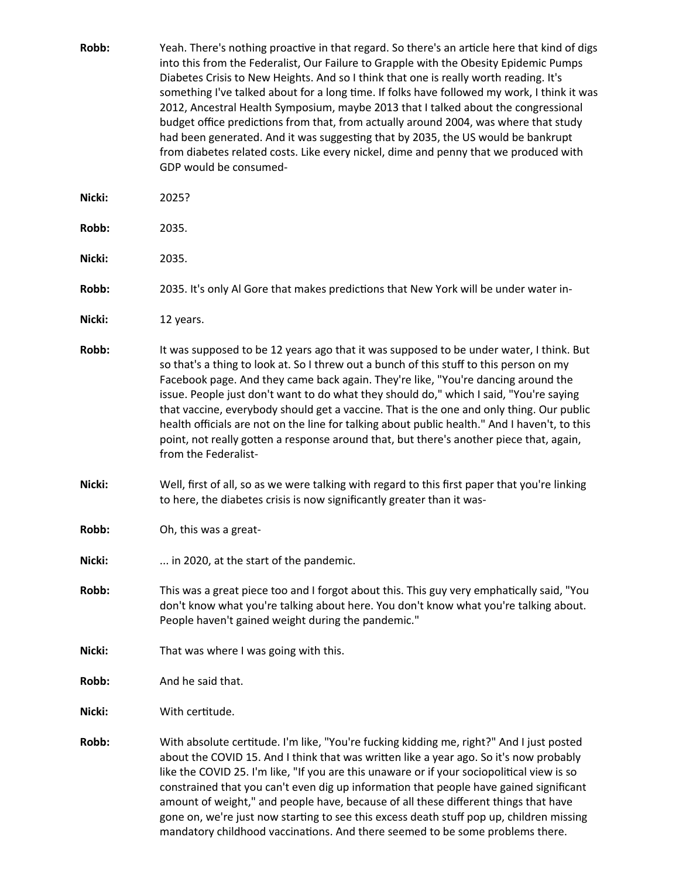- **Robb:** Yeah. There's nothing proactive in that regard. So there's an article here that kind of digs into this from the Federalist, Our Failure to Grapple with the Obesity Epidemic Pumps Diabetes Crisis to New Heights. And so I think that one is really worth reading. It's something I've talked about for a long time. If folks have followed my work, I think it was 2012, Ancestral Health Symposium, maybe 2013 that I talked about the congressional budget office predictions from that, from actually around 2004, was where that study had been generated. And it was suggesting that by 2035, the US would be bankrupt from diabetes related costs. Like every nickel, dime and penny that we produced with GDP would be consumed-
- **Nicki:** 2025?
- **Robb:** 2035.
- **Nicki:** 2035.
- **Robb:** 2035. It's only Al Gore that makes predictions that New York will be under water in-
- **Nicki:** 12 years.
- **Robb:** It was supposed to be 12 years ago that it was supposed to be under water, I think. But so that's a thing to look at. So I threw out a bunch of this stuff to this person on my Facebook page. And they came back again. They're like, "You're dancing around the issue. People just don't want to do what they should do," which I said, "You're saying that vaccine, everybody should get a vaccine. That is the one and only thing. Our public health officials are not on the line for talking about public health." And I haven't, to this point, not really gotten a response around that, but there's another piece that, again, from the Federalist-
- **Nicki:** Well, first of all, so as we were talking with regard to this first paper that you're linking to here, the diabetes crisis is now significantly greater than it was-
- **Robb:** Oh, this was a great-
- **Nicki:** ... in 2020, at the start of the pandemic.
- **Robb:** This was a great piece too and I forgot about this. This guy very emphatically said, "You don't know what you're talking about here. You don't know what you're talking about. People haven't gained weight during the pandemic."
- **Nicki:** That was where I was going with this.
- **Robb:** And he said that.
- **Nicki:** With certitude.
- **Robb:** With absolute certitude. I'm like, "You're fucking kidding me, right?" And I just posted about the COVID 15. And I think that was written like a year ago. So it's now probably like the COVID 25. I'm like, "If you are this unaware or if your sociopolitical view is so constrained that you can't even dig up information that people have gained significant amount of weight," and people have, because of all these different things that have gone on, we're just now starting to see this excess death stuff pop up, children missing mandatory childhood vaccinations. And there seemed to be some problems there.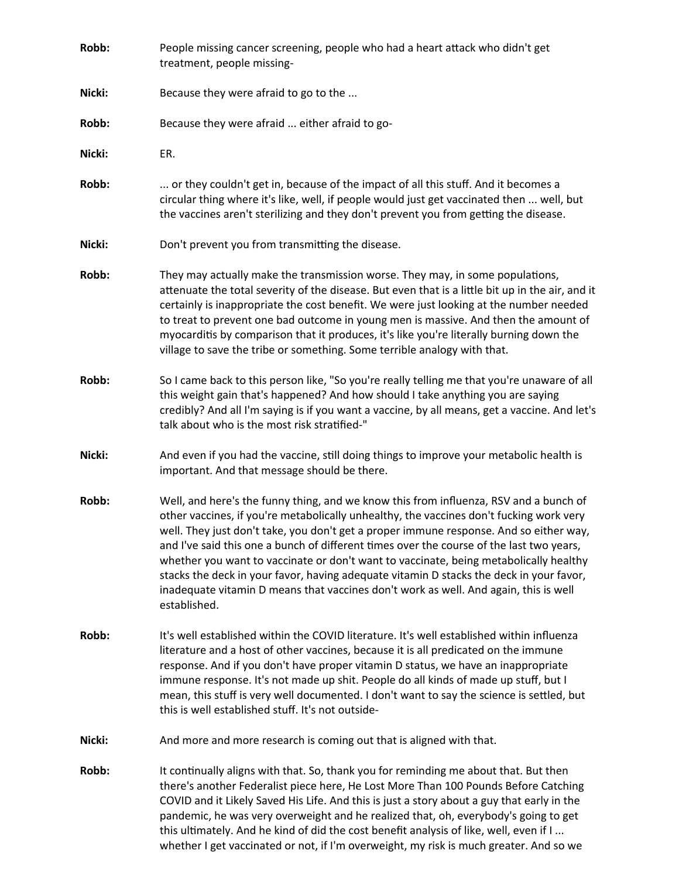| Robb:  | People missing cancer screening, people who had a heart attack who didn't get<br>treatment, people missing-                                                                                                                                                                                                                                                                                                                                                                                                                                                                                                                                                        |
|--------|--------------------------------------------------------------------------------------------------------------------------------------------------------------------------------------------------------------------------------------------------------------------------------------------------------------------------------------------------------------------------------------------------------------------------------------------------------------------------------------------------------------------------------------------------------------------------------------------------------------------------------------------------------------------|
| Nicki: | Because they were afraid to go to the                                                                                                                                                                                                                                                                                                                                                                                                                                                                                                                                                                                                                              |
| Robb:  | Because they were afraid  either afraid to go-                                                                                                                                                                                                                                                                                                                                                                                                                                                                                                                                                                                                                     |
| Nicki: | ER.                                                                                                                                                                                                                                                                                                                                                                                                                                                                                                                                                                                                                                                                |
| Robb:  | or they couldn't get in, because of the impact of all this stuff. And it becomes a<br>circular thing where it's like, well, if people would just get vaccinated then  well, but<br>the vaccines aren't sterilizing and they don't prevent you from getting the disease.                                                                                                                                                                                                                                                                                                                                                                                            |
| Nicki: | Don't prevent you from transmitting the disease.                                                                                                                                                                                                                                                                                                                                                                                                                                                                                                                                                                                                                   |
| Robb:  | They may actually make the transmission worse. They may, in some populations,<br>attenuate the total severity of the disease. But even that is a little bit up in the air, and it<br>certainly is inappropriate the cost benefit. We were just looking at the number needed<br>to treat to prevent one bad outcome in young men is massive. And then the amount of<br>myocarditis by comparison that it produces, it's like you're literally burning down the<br>village to save the tribe or something. Some terrible analogy with that.                                                                                                                          |
| Robb:  | So I came back to this person like, "So you're really telling me that you're unaware of all<br>this weight gain that's happened? And how should I take anything you are saying<br>credibly? And all I'm saying is if you want a vaccine, by all means, get a vaccine. And let's<br>talk about who is the most risk stratified-"                                                                                                                                                                                                                                                                                                                                    |
| Nicki: | And even if you had the vaccine, still doing things to improve your metabolic health is<br>important. And that message should be there.                                                                                                                                                                                                                                                                                                                                                                                                                                                                                                                            |
| Robb:  | Well, and here's the funny thing, and we know this from influenza, RSV and a bunch of<br>other vaccines, if you're metabolically unhealthy, the vaccines don't fucking work very<br>well. They just don't take, you don't get a proper immune response. And so either way,<br>and I've said this one a bunch of different times over the course of the last two years,<br>whether you want to vaccinate or don't want to vaccinate, being metabolically healthy<br>stacks the deck in your favor, having adequate vitamin D stacks the deck in your favor,<br>inadequate vitamin D means that vaccines don't work as well. And again, this is well<br>established. |
| Robb:  | It's well established within the COVID literature. It's well established within influenza<br>literature and a host of other vaccines, because it is all predicated on the immune<br>response. And if you don't have proper vitamin D status, we have an inappropriate<br>immune response. It's not made up shit. People do all kinds of made up stuff, but I<br>mean, this stuff is very well documented. I don't want to say the science is settled, but<br>this is well established stuff. It's not outside-                                                                                                                                                     |
| Nicki: | And more and more research is coming out that is aligned with that.                                                                                                                                                                                                                                                                                                                                                                                                                                                                                                                                                                                                |
| Robb:  | It continually aligns with that. So, thank you for reminding me about that. But then<br>there's another Federalist piece here, He Lost More Than 100 Pounds Before Catching<br>COVID and it Likely Saved His Life. And this is just a story about a guy that early in the<br>pandemic, he was very overweight and he realized that, oh, everybody's going to get<br>this ultimately. And he kind of did the cost benefit analysis of like, well, even if I<br>whether I get vaccinated or not, if I'm overweight, my risk is much greater. And so we                                                                                                               |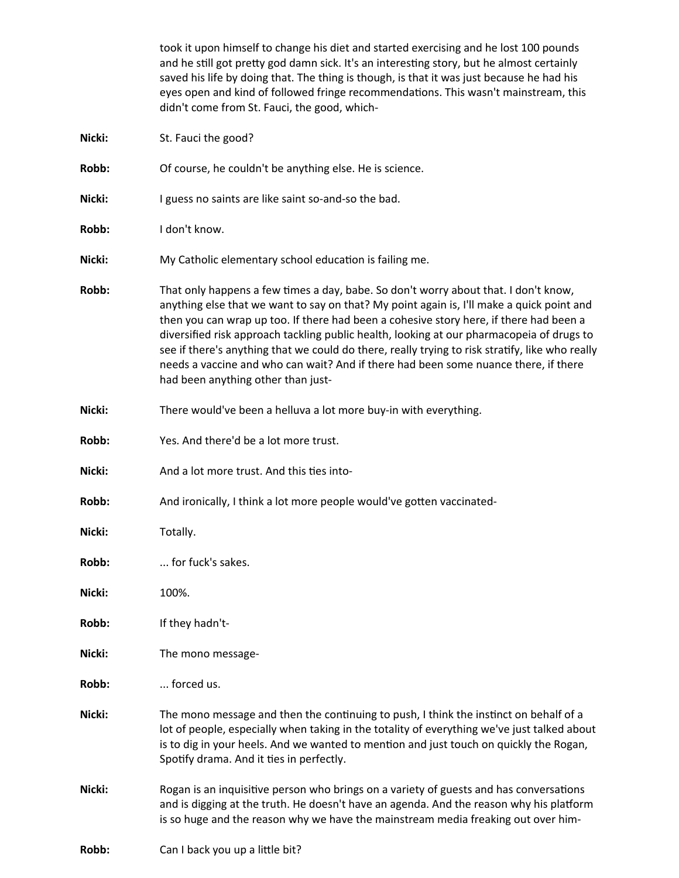|        | took it upon himself to change his diet and started exercising and he lost 100 pounds<br>and he still got pretty god damn sick. It's an interesting story, but he almost certainly<br>saved his life by doing that. The thing is though, is that it was just because he had his<br>eyes open and kind of followed fringe recommendations. This wasn't mainstream, this<br>didn't come from St. Fauci, the good, which-                                                                                                                                                                                  |
|--------|---------------------------------------------------------------------------------------------------------------------------------------------------------------------------------------------------------------------------------------------------------------------------------------------------------------------------------------------------------------------------------------------------------------------------------------------------------------------------------------------------------------------------------------------------------------------------------------------------------|
| Nicki: | St. Fauci the good?                                                                                                                                                                                                                                                                                                                                                                                                                                                                                                                                                                                     |
| Robb:  | Of course, he couldn't be anything else. He is science.                                                                                                                                                                                                                                                                                                                                                                                                                                                                                                                                                 |
| Nicki: | I guess no saints are like saint so-and-so the bad.                                                                                                                                                                                                                                                                                                                                                                                                                                                                                                                                                     |
| Robb:  | I don't know.                                                                                                                                                                                                                                                                                                                                                                                                                                                                                                                                                                                           |
| Nicki: | My Catholic elementary school education is failing me.                                                                                                                                                                                                                                                                                                                                                                                                                                                                                                                                                  |
| Robb:  | That only happens a few times a day, babe. So don't worry about that. I don't know,<br>anything else that we want to say on that? My point again is, I'll make a quick point and<br>then you can wrap up too. If there had been a cohesive story here, if there had been a<br>diversified risk approach tackling public health, looking at our pharmacopeia of drugs to<br>see if there's anything that we could do there, really trying to risk stratify, like who really<br>needs a vaccine and who can wait? And if there had been some nuance there, if there<br>had been anything other than just- |
| Nicki: | There would've been a helluva a lot more buy-in with everything.                                                                                                                                                                                                                                                                                                                                                                                                                                                                                                                                        |
| Robb:  | Yes. And there'd be a lot more trust.                                                                                                                                                                                                                                                                                                                                                                                                                                                                                                                                                                   |
| Nicki: | And a lot more trust. And this ties into-                                                                                                                                                                                                                                                                                                                                                                                                                                                                                                                                                               |
| Robb:  | And ironically, I think a lot more people would've gotten vaccinated-                                                                                                                                                                                                                                                                                                                                                                                                                                                                                                                                   |
| Nicki: | Totally.                                                                                                                                                                                                                                                                                                                                                                                                                                                                                                                                                                                                |
| Robb:  | for fuck's sakes.                                                                                                                                                                                                                                                                                                                                                                                                                                                                                                                                                                                       |
| Nicki: | 100%.                                                                                                                                                                                                                                                                                                                                                                                                                                                                                                                                                                                                   |
| Robb:  | If they hadn't-                                                                                                                                                                                                                                                                                                                                                                                                                                                                                                                                                                                         |
| Nicki: | The mono message-                                                                                                                                                                                                                                                                                                                                                                                                                                                                                                                                                                                       |
| Robb:  | forced us.                                                                                                                                                                                                                                                                                                                                                                                                                                                                                                                                                                                              |
| Nicki: | The mono message and then the continuing to push, I think the instinct on behalf of a<br>lot of people, especially when taking in the totality of everything we've just talked about<br>is to dig in your heels. And we wanted to mention and just touch on quickly the Rogan,<br>Spotify drama. And it ties in perfectly.                                                                                                                                                                                                                                                                              |
| Nicki: | Rogan is an inquisitive person who brings on a variety of guests and has conversations<br>and is digging at the truth. He doesn't have an agenda. And the reason why his platform<br>is so huge and the reason why we have the mainstream media freaking out over him-                                                                                                                                                                                                                                                                                                                                  |
| Robb:  | Can I back you up a little bit?                                                                                                                                                                                                                                                                                                                                                                                                                                                                                                                                                                         |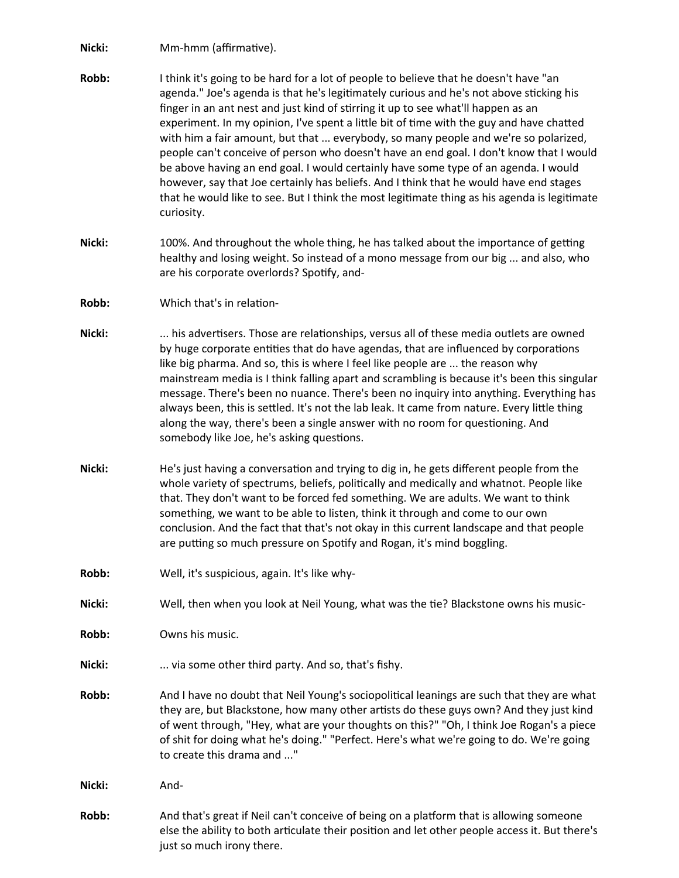**Nicki:** Mm-hmm (affirmative).

- **Robb:** I think it's going to be hard for a lot of people to believe that he doesn't have "an agenda." Joe's agenda is that he's legitimately curious and he's not above sticking his finger in an ant nest and just kind of stirring it up to see what'll happen as an experiment. In my opinion, I've spent a little bit of time with the guy and have chatted with him a fair amount, but that ... everybody, so many people and we're so polarized, people can't conceive of person who doesn't have an end goal. I don't know that I would be above having an end goal. I would certainly have some type of an agenda. I would however, say that Joe certainly has beliefs. And I think that he would have end stages that he would like to see. But I think the most legitimate thing as his agenda is legitimate curiosity.
- **Nicki:** 100%. And throughout the whole thing, he has talked about the importance of getting healthy and losing weight. So instead of a mono message from our big ... and also, who are his corporate overlords? Spotify, and-
- **Robb:** Which that's in relation-
- **Nicki:** ... his advertisers. Those are relationships, versus all of these media outlets are owned by huge corporate entities that do have agendas, that are influenced by corporations like big pharma. And so, this is where I feel like people are ... the reason why mainstream media is I think falling apart and scrambling is because it's been this singular message. There's been no nuance. There's been no inquiry into anything. Everything has always been, this is settled. It's not the lab leak. It came from nature. Every little thing along the way, there's been a single answer with no room for questioning. And somebody like Joe, he's asking questions.
- **Nicki:** He's just having a conversation and trying to dig in, he gets different people from the whole variety of spectrums, beliefs, politically and medically and whatnot. People like that. They don't want to be forced fed something. We are adults. We want to think something, we want to be able to listen, think it through and come to our own conclusion. And the fact that that's not okay in this current landscape and that people are putting so much pressure on Spotify and Rogan, it's mind boggling.
- **Robb:** Well, it's suspicious, again. It's like why-
- **Nicki:** Well, then when you look at Neil Young, what was the tie? Blackstone owns his music-

**Robb:** Owns his music.

- **Nicki:** ... via some other third party. And so, that's fishy.
- **Robb:** And I have no doubt that Neil Young's sociopolitical leanings are such that they are what they are, but Blackstone, how many other artists do these guys own? And they just kind of went through, "Hey, what are your thoughts on this?" "Oh, I think Joe Rogan's a piece of shit for doing what he's doing." "Perfect. Here's what we're going to do. We're going to create this drama and ..."
- **Nicki:** And-
- **Robb:** And that's great if Neil can't conceive of being on a platform that is allowing someone else the ability to both articulate their position and let other people access it. But there's just so much irony there.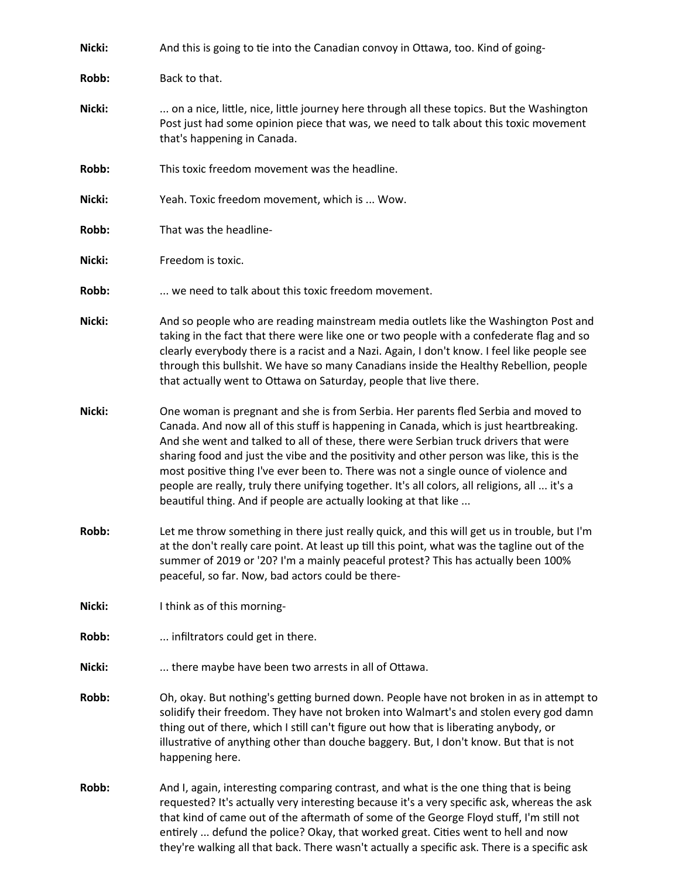| Nicki: | And this is going to tie into the Canadian convoy in Ottawa, too. Kind of going-                                                                                                                                                                                                                                                                                                                                                                                                                                                                                                                                            |
|--------|-----------------------------------------------------------------------------------------------------------------------------------------------------------------------------------------------------------------------------------------------------------------------------------------------------------------------------------------------------------------------------------------------------------------------------------------------------------------------------------------------------------------------------------------------------------------------------------------------------------------------------|
| Robb:  | Back to that.                                                                                                                                                                                                                                                                                                                                                                                                                                                                                                                                                                                                               |
| Nicki: | on a nice, little, nice, little journey here through all these topics. But the Washington<br>Post just had some opinion piece that was, we need to talk about this toxic movement<br>that's happening in Canada.                                                                                                                                                                                                                                                                                                                                                                                                            |
| Robb:  | This toxic freedom movement was the headline.                                                                                                                                                                                                                                                                                                                                                                                                                                                                                                                                                                               |
| Nicki: | Yeah. Toxic freedom movement, which is  Wow.                                                                                                                                                                                                                                                                                                                                                                                                                                                                                                                                                                                |
| Robb:  | That was the headline-                                                                                                                                                                                                                                                                                                                                                                                                                                                                                                                                                                                                      |
| Nicki: | Freedom is toxic.                                                                                                                                                                                                                                                                                                                                                                                                                                                                                                                                                                                                           |
| Robb:  | we need to talk about this toxic freedom movement.                                                                                                                                                                                                                                                                                                                                                                                                                                                                                                                                                                          |
| Nicki: | And so people who are reading mainstream media outlets like the Washington Post and<br>taking in the fact that there were like one or two people with a confederate flag and so<br>clearly everybody there is a racist and a Nazi. Again, I don't know. I feel like people see<br>through this bullshit. We have so many Canadians inside the Healthy Rebellion, people<br>that actually went to Ottawa on Saturday, people that live there.                                                                                                                                                                                |
| Nicki: | One woman is pregnant and she is from Serbia. Her parents fled Serbia and moved to<br>Canada. And now all of this stuff is happening in Canada, which is just heartbreaking.<br>And she went and talked to all of these, there were Serbian truck drivers that were<br>sharing food and just the vibe and the positivity and other person was like, this is the<br>most positive thing I've ever been to. There was not a single ounce of violence and<br>people are really, truly there unifying together. It's all colors, all religions, all  it's a<br>beautiful thing. And if people are actually looking at that like |
| Robb:  | Let me throw something in there just really quick, and this will get us in trouble, but I'm<br>at the don't really care point. At least up till this point, what was the tagline out of the<br>summer of 2019 or '20? I'm a mainly peaceful protest? This has actually been 100%<br>peaceful, so far. Now, bad actors could be there-                                                                                                                                                                                                                                                                                       |
| Nicki: | I think as of this morning-                                                                                                                                                                                                                                                                                                                                                                                                                                                                                                                                                                                                 |
| Robb:  | infiltrators could get in there.                                                                                                                                                                                                                                                                                                                                                                                                                                                                                                                                                                                            |
| Nicki: | there maybe have been two arrests in all of Ottawa.                                                                                                                                                                                                                                                                                                                                                                                                                                                                                                                                                                         |
| Robb:  | Oh, okay. But nothing's getting burned down. People have not broken in as in attempt to<br>solidify their freedom. They have not broken into Walmart's and stolen every god damn<br>thing out of there, which I still can't figure out how that is liberating anybody, or<br>illustrative of anything other than douche baggery. But, I don't know. But that is not<br>happening here.                                                                                                                                                                                                                                      |
| Robb:  | And I, again, interesting comparing contrast, and what is the one thing that is being<br>requested? It's actually very interesting because it's a very specific ask, whereas the ask<br>that kind of came out of the aftermath of some of the George Floyd stuff, I'm still not<br>entirely  defund the police? Okay, that worked great. Cities went to hell and now<br>they're walking all that back. There wasn't actually a specific ask. There is a specific ask                                                                                                                                                        |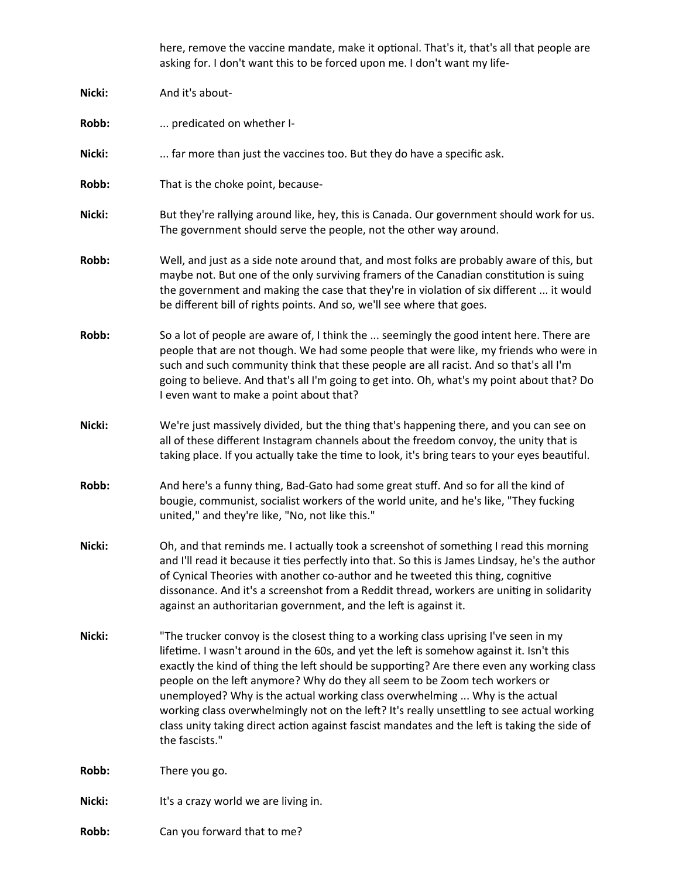here, remove the vaccine mandate, make it optional. That's it, that's all that people are asking for. I don't want this to be forced upon me. I don't want my life-

| Nicki: | And it's about-                                                                                                                                                                                                                                                                                                                                                                                                                                                                                                                                                                                                                                             |
|--------|-------------------------------------------------------------------------------------------------------------------------------------------------------------------------------------------------------------------------------------------------------------------------------------------------------------------------------------------------------------------------------------------------------------------------------------------------------------------------------------------------------------------------------------------------------------------------------------------------------------------------------------------------------------|
| Robb:  | predicated on whether I-                                                                                                                                                                                                                                                                                                                                                                                                                                                                                                                                                                                                                                    |
| Nicki: | far more than just the vaccines too. But they do have a specific ask.                                                                                                                                                                                                                                                                                                                                                                                                                                                                                                                                                                                       |
| Robb:  | That is the choke point, because-                                                                                                                                                                                                                                                                                                                                                                                                                                                                                                                                                                                                                           |
| Nicki: | But they're rallying around like, hey, this is Canada. Our government should work for us.<br>The government should serve the people, not the other way around.                                                                                                                                                                                                                                                                                                                                                                                                                                                                                              |
| Robb:  | Well, and just as a side note around that, and most folks are probably aware of this, but<br>maybe not. But one of the only surviving framers of the Canadian constitution is suing<br>the government and making the case that they're in violation of six different  it would<br>be different bill of rights points. And so, we'll see where that goes.                                                                                                                                                                                                                                                                                                    |
| Robb:  | So a lot of people are aware of, I think the  seemingly the good intent here. There are<br>people that are not though. We had some people that were like, my friends who were in<br>such and such community think that these people are all racist. And so that's all I'm<br>going to believe. And that's all I'm going to get into. Oh, what's my point about that? Do<br>I even want to make a point about that?                                                                                                                                                                                                                                          |
| Nicki: | We're just massively divided, but the thing that's happening there, and you can see on<br>all of these different Instagram channels about the freedom convoy, the unity that is<br>taking place. If you actually take the time to look, it's bring tears to your eyes beautiful.                                                                                                                                                                                                                                                                                                                                                                            |
| Robb:  | And here's a funny thing, Bad-Gato had some great stuff. And so for all the kind of<br>bougie, communist, socialist workers of the world unite, and he's like, "They fucking<br>united," and they're like, "No, not like this."                                                                                                                                                                                                                                                                                                                                                                                                                             |
| Nicki: | Oh, and that reminds me. I actually took a screenshot of something I read this morning<br>and I'll read it because it ties perfectly into that. So this is James Lindsay, he's the author<br>of Cynical Theories with another co-author and he tweeted this thing, cognitive<br>dissonance. And it's a screenshot from a Reddit thread, workers are uniting in solidarity<br>against an authoritarian government, and the left is against it.                                                                                                                                                                                                               |
| Nicki: | "The trucker convoy is the closest thing to a working class uprising I've seen in my<br>lifetime. I wasn't around in the 60s, and yet the left is somehow against it. Isn't this<br>exactly the kind of thing the left should be supporting? Are there even any working class<br>people on the left anymore? Why do they all seem to be Zoom tech workers or<br>unemployed? Why is the actual working class overwhelming  Why is the actual<br>working class overwhelmingly not on the left? It's really unsettling to see actual working<br>class unity taking direct action against fascist mandates and the left is taking the side of<br>the fascists." |
| Robb:  | There you go.                                                                                                                                                                                                                                                                                                                                                                                                                                                                                                                                                                                                                                               |
| Nicki: | It's a crazy world we are living in.                                                                                                                                                                                                                                                                                                                                                                                                                                                                                                                                                                                                                        |
| Robb:  | Can you forward that to me?                                                                                                                                                                                                                                                                                                                                                                                                                                                                                                                                                                                                                                 |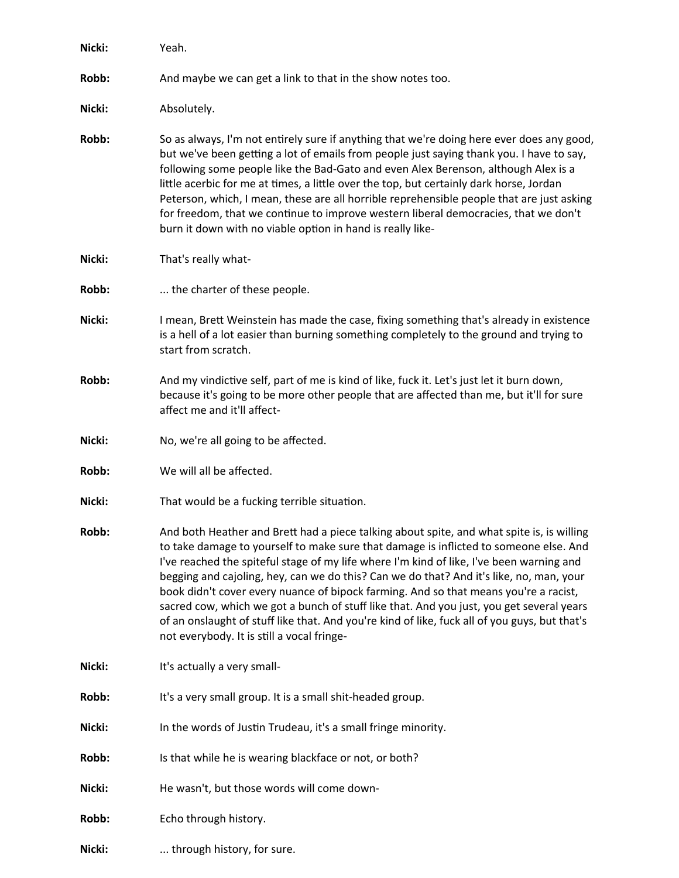| Nicki: | Yeah.                                                                                                                                                                                                                                                                                                                                                                                                                                                                                                                                                                                                                                                                                                        |
|--------|--------------------------------------------------------------------------------------------------------------------------------------------------------------------------------------------------------------------------------------------------------------------------------------------------------------------------------------------------------------------------------------------------------------------------------------------------------------------------------------------------------------------------------------------------------------------------------------------------------------------------------------------------------------------------------------------------------------|
| Robb:  | And maybe we can get a link to that in the show notes too.                                                                                                                                                                                                                                                                                                                                                                                                                                                                                                                                                                                                                                                   |
| Nicki: | Absolutely.                                                                                                                                                                                                                                                                                                                                                                                                                                                                                                                                                                                                                                                                                                  |
| Robb:  | So as always, I'm not entirely sure if anything that we're doing here ever does any good,<br>but we've been getting a lot of emails from people just saying thank you. I have to say,<br>following some people like the Bad-Gato and even Alex Berenson, although Alex is a<br>little acerbic for me at times, a little over the top, but certainly dark horse, Jordan<br>Peterson, which, I mean, these are all horrible reprehensible people that are just asking<br>for freedom, that we continue to improve western liberal democracies, that we don't<br>burn it down with no viable option in hand is really like-                                                                                     |
| Nicki: | That's really what-                                                                                                                                                                                                                                                                                                                                                                                                                                                                                                                                                                                                                                                                                          |
| Robb:  | the charter of these people.                                                                                                                                                                                                                                                                                                                                                                                                                                                                                                                                                                                                                                                                                 |
| Nicki: | I mean, Brett Weinstein has made the case, fixing something that's already in existence<br>is a hell of a lot easier than burning something completely to the ground and trying to<br>start from scratch.                                                                                                                                                                                                                                                                                                                                                                                                                                                                                                    |
| Robb:  | And my vindictive self, part of me is kind of like, fuck it. Let's just let it burn down,<br>because it's going to be more other people that are affected than me, but it'll for sure<br>affect me and it'll affect-                                                                                                                                                                                                                                                                                                                                                                                                                                                                                         |
| Nicki: | No, we're all going to be affected.                                                                                                                                                                                                                                                                                                                                                                                                                                                                                                                                                                                                                                                                          |
| Robb:  | We will all be affected.                                                                                                                                                                                                                                                                                                                                                                                                                                                                                                                                                                                                                                                                                     |
| Nicki: | That would be a fucking terrible situation.                                                                                                                                                                                                                                                                                                                                                                                                                                                                                                                                                                                                                                                                  |
| Robb:  | And both Heather and Brett had a piece talking about spite, and what spite is, is willing<br>to take damage to yourself to make sure that damage is inflicted to someone else. And<br>I've reached the spiteful stage of my life where I'm kind of like, I've been warning and<br>begging and cajoling, hey, can we do this? Can we do that? And it's like, no, man, your<br>book didn't cover every nuance of bipock farming. And so that means you're a racist,<br>sacred cow, which we got a bunch of stuff like that. And you just, you get several years<br>of an onslaught of stuff like that. And you're kind of like, fuck all of you guys, but that's<br>not everybody. It is still a vocal fringe- |
| Nicki: | It's actually a very small-                                                                                                                                                                                                                                                                                                                                                                                                                                                                                                                                                                                                                                                                                  |
| Robb:  | It's a very small group. It is a small shit-headed group.                                                                                                                                                                                                                                                                                                                                                                                                                                                                                                                                                                                                                                                    |
| Nicki: | In the words of Justin Trudeau, it's a small fringe minority.                                                                                                                                                                                                                                                                                                                                                                                                                                                                                                                                                                                                                                                |
| Robb:  | Is that while he is wearing blackface or not, or both?                                                                                                                                                                                                                                                                                                                                                                                                                                                                                                                                                                                                                                                       |
| Nicki: | He wasn't, but those words will come down-                                                                                                                                                                                                                                                                                                                                                                                                                                                                                                                                                                                                                                                                   |
| Robb:  | Echo through history.                                                                                                                                                                                                                                                                                                                                                                                                                                                                                                                                                                                                                                                                                        |
| Nicki: | through history, for sure.                                                                                                                                                                                                                                                                                                                                                                                                                                                                                                                                                                                                                                                                                   |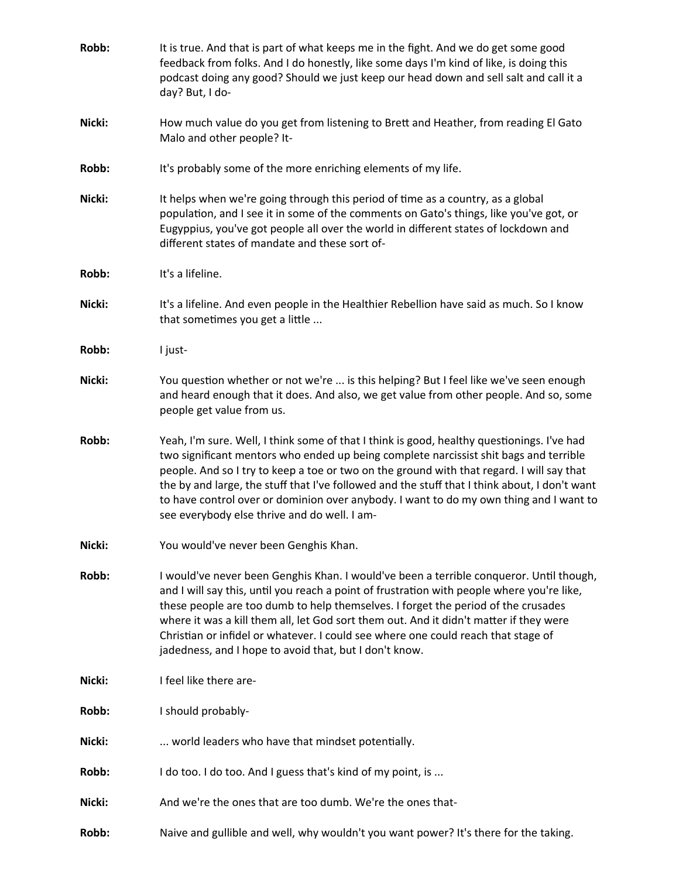| Robb:  | It is true. And that is part of what keeps me in the fight. And we do get some good<br>feedback from folks. And I do honestly, like some days I'm kind of like, is doing this<br>podcast doing any good? Should we just keep our head down and sell salt and call it a<br>day? But, I do-                                                                                                                                                                                                                                   |
|--------|-----------------------------------------------------------------------------------------------------------------------------------------------------------------------------------------------------------------------------------------------------------------------------------------------------------------------------------------------------------------------------------------------------------------------------------------------------------------------------------------------------------------------------|
| Nicki: | How much value do you get from listening to Brett and Heather, from reading El Gato<br>Malo and other people? It-                                                                                                                                                                                                                                                                                                                                                                                                           |
| Robb:  | It's probably some of the more enriching elements of my life.                                                                                                                                                                                                                                                                                                                                                                                                                                                               |
| Nicki: | It helps when we're going through this period of time as a country, as a global<br>population, and I see it in some of the comments on Gato's things, like you've got, or<br>Eugyppius, you've got people all over the world in different states of lockdown and<br>different states of mandate and these sort of-                                                                                                                                                                                                          |
| Robb:  | It's a lifeline.                                                                                                                                                                                                                                                                                                                                                                                                                                                                                                            |
| Nicki: | It's a lifeline. And even people in the Healthier Rebellion have said as much. So I know<br>that sometimes you get a little                                                                                                                                                                                                                                                                                                                                                                                                 |
| Robb:  | I just-                                                                                                                                                                                                                                                                                                                                                                                                                                                                                                                     |
| Nicki: | You question whether or not we're  is this helping? But I feel like we've seen enough<br>and heard enough that it does. And also, we get value from other people. And so, some<br>people get value from us.                                                                                                                                                                                                                                                                                                                 |
| Robb:  | Yeah, I'm sure. Well, I think some of that I think is good, healthy questionings. I've had<br>two significant mentors who ended up being complete narcissist shit bags and terrible<br>people. And so I try to keep a toe or two on the ground with that regard. I will say that<br>the by and large, the stuff that I've followed and the stuff that I think about, I don't want<br>to have control over or dominion over anybody. I want to do my own thing and I want to<br>see everybody else thrive and do well. I am- |
| Nicki: | You would've never been Genghis Khan.                                                                                                                                                                                                                                                                                                                                                                                                                                                                                       |
| Robb:  | I would've never been Genghis Khan. I would've been a terrible conqueror. Until though,<br>and I will say this, until you reach a point of frustration with people where you're like,<br>these people are too dumb to help themselves. I forget the period of the crusades<br>where it was a kill them all, let God sort them out. And it didn't matter if they were<br>Christian or infidel or whatever. I could see where one could reach that stage of<br>jadedness, and I hope to avoid that, but I don't know.         |
| Nicki: | I feel like there are-                                                                                                                                                                                                                                                                                                                                                                                                                                                                                                      |
| Robb:  | I should probably-                                                                                                                                                                                                                                                                                                                                                                                                                                                                                                          |
| Nicki: | world leaders who have that mindset potentially.                                                                                                                                                                                                                                                                                                                                                                                                                                                                            |
| Robb:  | I do too. I do too. And I guess that's kind of my point, is                                                                                                                                                                                                                                                                                                                                                                                                                                                                 |
| Nicki: | And we're the ones that are too dumb. We're the ones that-                                                                                                                                                                                                                                                                                                                                                                                                                                                                  |
| Robb:  | Naive and gullible and well, why wouldn't you want power? It's there for the taking.                                                                                                                                                                                                                                                                                                                                                                                                                                        |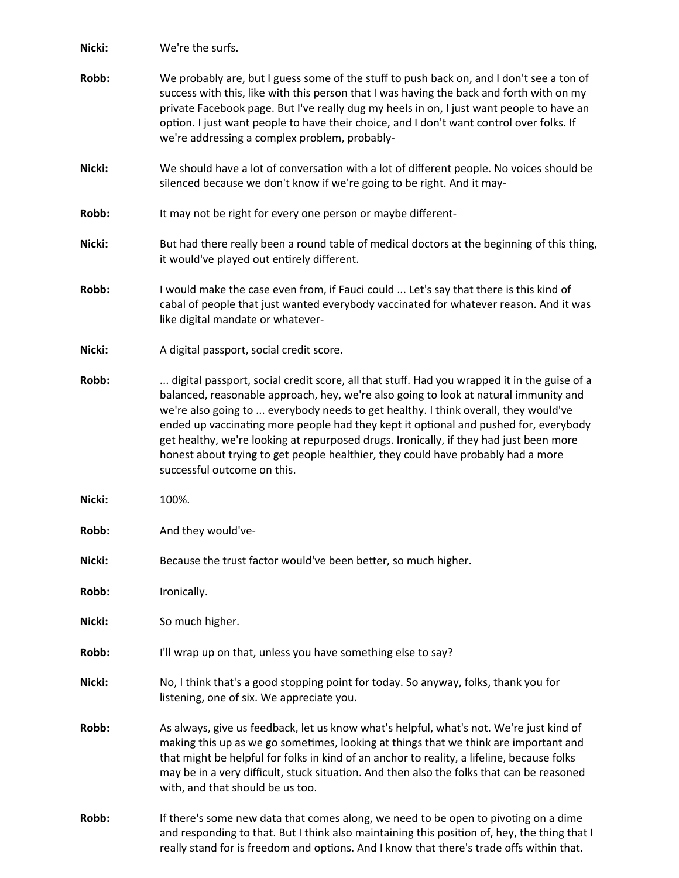**Nicki:** We're the surfs. **Robb:** We probably are, but I guess some of the stuff to push back on, and I don't see a ton of success with this, like with this person that I was having the back and forth with on my private Facebook page. But I've really dug my heels in on, I just want people to have an option. I just want people to have their choice, and I don't want control over folks. If we're addressing a complex problem, probably-**Nicki:** We should have a lot of conversation with a lot of different people. No voices should be silenced because we don't know if we're going to be right. And it may-**Robb:** It may not be right for every one person or maybe different-**Nicki:** But had there really been a round table of medical doctors at the beginning of this thing, it would've played out entirely different. **Robb:** I would make the case even from, if Fauci could ... Let's say that there is this kind of cabal of people that just wanted everybody vaccinated for whatever reason. And it was like digital mandate or whatever-**Nicki:** A digital passport, social credit score. **Robb:** ... digital passport, social credit score, all that stuff. Had you wrapped it in the guise of a balanced, reasonable approach, hey, we're also going to look at natural immunity and we're also going to ... everybody needs to get healthy. I think overall, they would've ended up vaccinating more people had they kept it optional and pushed for, everybody get healthy, we're looking at repurposed drugs. Ironically, if they had just been more honest about trying to get people healthier, they could have probably had a more successful outcome on this. **Nicki:** 100%. **Robb:** And they would've-**Nicki:** Because the trust factor would've been better, so much higher. **Robb:** Ironically. **Nicki:** So much higher. Robb: I'll wrap up on that, unless you have something else to say? **Nicki:** No, I think that's a good stopping point for today. So anyway, folks, thank you for listening, one of six. We appreciate you. **Robb:** As always, give us feedback, let us know what's helpful, what's not. We're just kind of making this up as we go sometimes, looking at things that we think are important and that might be helpful for folks in kind of an anchor to reality, a lifeline, because folks may be in a very difficult, stuck situation. And then also the folks that can be reasoned with, and that should be us too. **Robb:** If there's some new data that comes along, we need to be open to pivoting on a dime and responding to that. But I think also maintaining this position of, hey, the thing that I really stand for is freedom and options. And I know that there's trade offs within that.